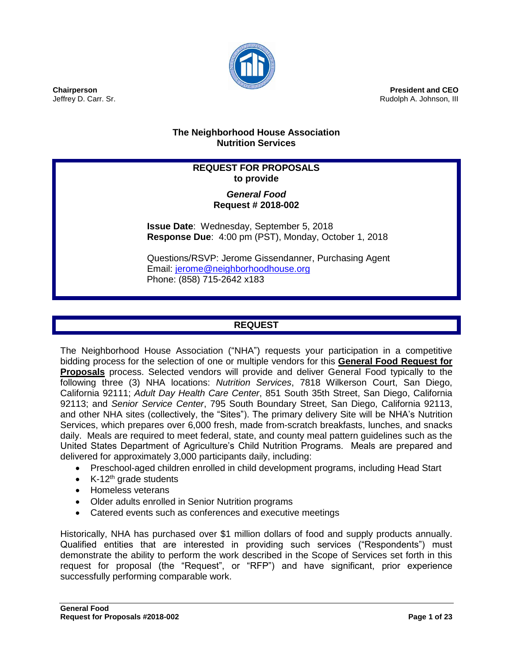

**President and CEO** Rudolph A. Johnson, III

# **The Neighborhood House Association Nutrition Services**

# **REQUEST FOR PROPOSALS to provide**

# *General Food* **Request # 2018-002**

**Issue Date**: Wednesday, September 5, 2018 **Response Due**: 4:00 pm (PST), Monday, October 1, 2018

Questions/RSVP: Jerome Gissendanner, Purchasing Agent Email: [jerome@neighborhoodhouse.org](mailto:jerome@neighborhoodhouse.org) Phone: (858) 715-2642 x183

# **REQUEST**

The Neighborhood House Association ("NHA") requests your participation in a competitive bidding process for the selection of one or multiple vendors for this **General Food Request for Proposals** process. Selected vendors will provide and deliver General Food typically to the following three (3) NHA locations: *Nutrition Services*, 7818 Wilkerson Court, San Diego, California 92111; *Adult Day Health Care Center*, 851 South 35th Street, San Diego, California 92113; and *Senior Service Center*, 795 South Boundary Street, San Diego, California 92113, and other NHA sites (collectively, the "Sites"). The primary delivery Site will be NHA's Nutrition Services, which prepares over 6,000 fresh, made from-scratch breakfasts, lunches, and snacks daily. Meals are required to meet federal, state, and county meal pattern guidelines such as the United States Department of Agriculture's Child Nutrition Programs. Meals are prepared and delivered for approximately 3,000 participants daily, including:

- Preschool-aged children enrolled in child development programs, including Head Start
- $\bullet$  K-12<sup>th</sup> grade students
- Homeless veterans
- Older adults enrolled in Senior Nutrition programs
- Catered events such as conferences and executive meetings

Historically, NHA has purchased over \$1 million dollars of food and supply products annually. Qualified entities that are interested in providing such services ("Respondents") must demonstrate the ability to perform the work described in the Scope of Services set forth in this request for proposal (the "Request", or "RFP") and have significant, prior experience successfully performing comparable work.

**Chairperson** Jeffrey D. Carr. Sr.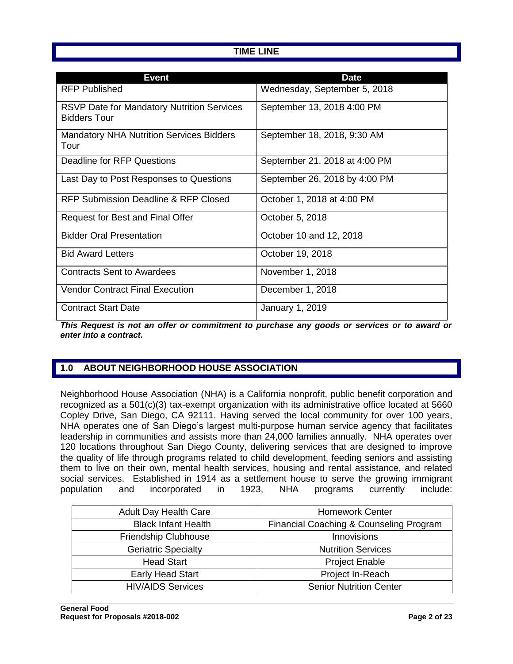# **TIME LINE**

| <b>Event</b>                                                             | <b>Date</b>                   |
|--------------------------------------------------------------------------|-------------------------------|
| <b>RFP Published</b>                                                     | Wednesday, September 5, 2018  |
| <b>RSVP Date for Mandatory Nutrition Services</b><br><b>Bidders Tour</b> | September 13, 2018 4:00 PM    |
| <b>Mandatory NHA Nutrition Services Bidders</b><br>Tour                  | September 18, 2018, 9:30 AM   |
| Deadline for RFP Questions                                               | September 21, 2018 at 4:00 PM |
| Last Day to Post Responses to Questions                                  | September 26, 2018 by 4:00 PM |
| RFP Submission Deadline & RFP Closed                                     | October 1, 2018 at 4:00 PM    |
| Request for Best and Final Offer                                         | October 5, 2018               |
| <b>Bidder Oral Presentation</b>                                          | October 10 and 12, 2018       |
| <b>Bid Award Letters</b>                                                 | October 19, 2018              |
| <b>Contracts Sent to Awardees</b>                                        | November 1, 2018              |
| <b>Vendor Contract Final Execution</b>                                   | December 1, 2018              |
| <b>Contract Start Date</b>                                               | January 1, 2019               |

*This Request is not an offer or commitment to purchase any goods or services or to award or enter into a contract.*

# **1.0 ABOUT NEIGHBORHOOD HOUSE ASSOCIATION**

Neighborhood House Association (NHA) is a California nonprofit, public benefit corporation and recognized as a 501(c)(3) tax-exempt organization with its administrative office located at 5660 Copley Drive, San Diego, CA 92111. Having served the local community for over 100 years, NHA operates one of San Diego's largest multi-purpose human service agency that facilitates leadership in communities and assists more than 24,000 families annually. NHA operates over 120 locations throughout San Diego County, delivering services that are designed to improve the quality of life through programs related to child development, feeding seniors and assisting them to live on their own, mental health services, housing and rental assistance, and related social services. Established in 1914 as a settlement house to serve the growing immigrant population and incorporated in 1923, NHA programs currently include:

| <b>Adult Day Health Care</b> | <b>Homework Center</b>                  |
|------------------------------|-----------------------------------------|
| <b>Black Infant Health</b>   | Financial Coaching & Counseling Program |
| <b>Friendship Clubhouse</b>  | Innovisions                             |
| <b>Geriatric Specialty</b>   | <b>Nutrition Services</b>               |
| <b>Head Start</b>            | <b>Project Enable</b>                   |
| Early Head Start             | Project In-Reach                        |
| <b>HIV/AIDS Services</b>     | <b>Senior Nutrition Center</b>          |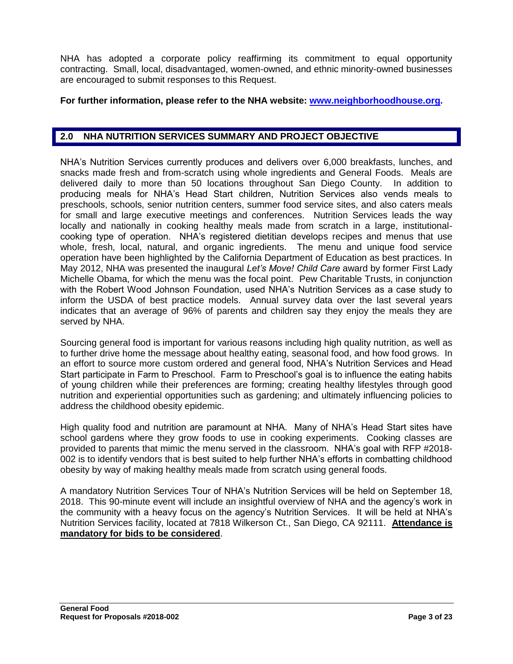NHA has adopted a corporate policy reaffirming its commitment to equal opportunity contracting. Small, local, disadvantaged, women-owned, and ethnic minority-owned businesses are encouraged to submit responses to this Request.

## **For further information, please refer to the NHA website: [www.neighborhoodhouse.org.](http://www.neighborhoodhouse.org/)**

# **2.0 NHA NUTRITION SERVICES SUMMARY AND PROJECT OBJECTIVE**

NHA's Nutrition Services currently produces and delivers over 6,000 breakfasts, lunches, and snacks made fresh and from-scratch using whole ingredients and General Foods. Meals are delivered daily to more than 50 locations throughout San Diego County. In addition to producing meals for NHA's Head Start children, Nutrition Services also vends meals to preschools, schools, senior nutrition centers, summer food service sites, and also caters meals for small and large executive meetings and conferences. Nutrition Services leads the way locally and nationally in cooking healthy meals made from scratch in a large, institutionalcooking type of operation. NHA's registered dietitian develops recipes and menus that use whole, fresh, local, natural, and organic ingredients. The menu and unique food service operation have been highlighted by the California Department of Education as best practices. In May 2012, NHA was presented the inaugural *Let's Move! Child Care* award by former First Lady Michelle Obama, for which the menu was the focal point. Pew Charitable Trusts, in conjunction with the Robert Wood Johnson Foundation, used NHA's Nutrition Services as a case study to inform the USDA of best practice models. Annual survey data over the last several years indicates that an average of 96% of parents and children say they enjoy the meals they are served by NHA.

Sourcing general food is important for various reasons including high quality nutrition, as well as to further drive home the message about healthy eating, seasonal food, and how food grows. In an effort to source more custom ordered and general food, NHA's Nutrition Services and Head Start participate in Farm to Preschool. Farm to Preschool's goal is to influence the eating habits of young children while their preferences are forming; creating healthy lifestyles through good nutrition and experiential opportunities such as gardening; and ultimately influencing policies to address the childhood obesity epidemic.

High quality food and nutrition are paramount at NHA. Many of NHA's Head Start sites have school gardens where they grow foods to use in cooking experiments. Cooking classes are provided to parents that mimic the menu served in the classroom. NHA's goal with RFP #2018- 002 is to identify vendors that is best suited to help further NHA's efforts in combatting childhood obesity by way of making healthy meals made from scratch using general foods.

A mandatory Nutrition Services Tour of NHA's Nutrition Services will be held on September 18, 2018. This 90-minute event will include an insightful overview of NHA and the agency's work in the community with a heavy focus on the agency's Nutrition Services. It will be held at NHA's Nutrition Services facility, located at 7818 Wilkerson Ct., San Diego, CA 92111. **Attendance is mandatory for bids to be considered**.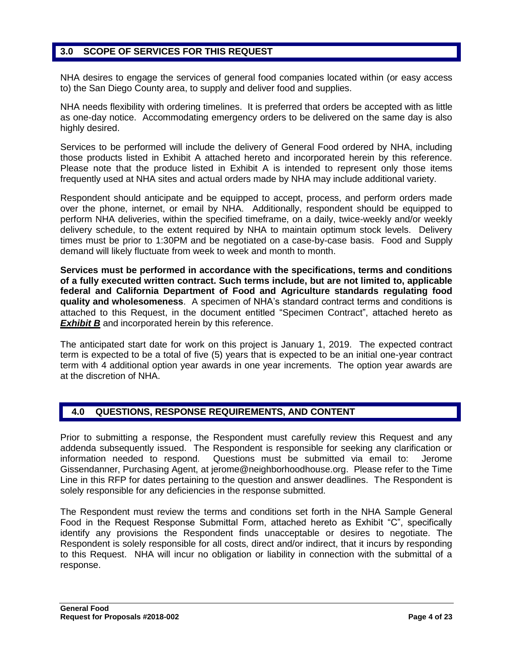# **3.0 SCOPE OF SERVICES FOR THIS REQUEST**

NHA desires to engage the services of general food companies located within (or easy access to) the San Diego County area, to supply and deliver food and supplies.

NHA needs flexibility with ordering timelines. It is preferred that orders be accepted with as little as one-day notice. Accommodating emergency orders to be delivered on the same day is also highly desired.

Services to be performed will include the delivery of General Food ordered by NHA, including those products listed in Exhibit A attached hereto and incorporated herein by this reference. Please note that the produce listed in Exhibit A is intended to represent only those items frequently used at NHA sites and actual orders made by NHA may include additional variety.

Respondent should anticipate and be equipped to accept, process, and perform orders made over the phone, internet, or email by NHA. Additionally, respondent should be equipped to perform NHA deliveries, within the specified timeframe, on a daily, twice-weekly and/or weekly delivery schedule, to the extent required by NHA to maintain optimum stock levels. Delivery times must be prior to 1:30PM and be negotiated on a case-by-case basis. Food and Supply demand will likely fluctuate from week to week and month to month.

**Services must be performed in accordance with the specifications, terms and conditions of a fully executed written contract. Such terms include, but are not limited to, applicable federal and California Department of Food and Agriculture standards regulating food quality and wholesomeness**. A specimen of NHA's standard contract terms and conditions is attached to this Request, in the document entitled "Specimen Contract", attached hereto as **Exhibit B** and incorporated herein by this reference.

The anticipated start date for work on this project is January 1, 2019. The expected contract term is expected to be a total of five (5) years that is expected to be an initial one-year contract term with 4 additional option year awards in one year increments. The option year awards are at the discretion of NHA.

## **4.0 QUESTIONS, RESPONSE REQUIREMENTS, AND CONTENT**

Prior to submitting a response, the Respondent must carefully review this Request and any addenda subsequently issued. The Respondent is responsible for seeking any clarification or information needed to respond. Questions must be submitted via email to: Jerome Gissendanner, Purchasing Agent, at [jerome@neighborhoodhouse.org.](mailto:jerome@neighborhoodhouse.org) Please refer to the Time Line in this RFP for dates pertaining to the question and answer deadlines. The Respondent is solely responsible for any deficiencies in the response submitted.

The Respondent must review the terms and conditions set forth in the NHA Sample General Food in the Request Response Submittal Form, attached hereto as Exhibit "C", specifically identify any provisions the Respondent finds unacceptable or desires to negotiate. The Respondent is solely responsible for all costs, direct and/or indirect, that it incurs by responding to this Request. NHA will incur no obligation or liability in connection with the submittal of a response.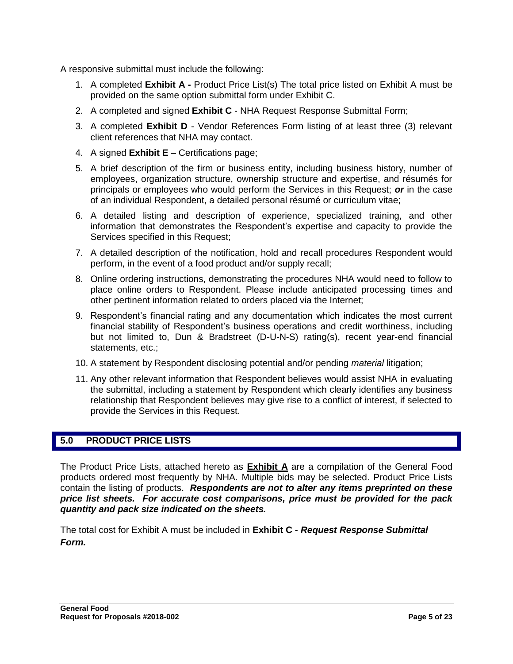A responsive submittal must include the following:

- 1. A completed **Exhibit A -** Product Price List(s) The total price listed on Exhibit A must be provided on the same option submittal form under Exhibit C.
- 2. A completed and signed **Exhibit C** NHA Request Response Submittal Form;
- 3. A completed **Exhibit D** Vendor References Form listing of at least three (3) relevant client references that NHA may contact.
- 4. A signed **Exhibit E** Certifications page;
- 5. A brief description of the firm or business entity, including business history, number of employees, organization structure, ownership structure and expertise, and résumés for principals or employees who would perform the Services in this Request; *or* in the case of an individual Respondent, a detailed personal résumé or curriculum vitae;
- 6. A detailed listing and description of experience, specialized training, and other information that demonstrates the Respondent's expertise and capacity to provide the Services specified in this Request:
- 7. A detailed description of the notification, hold and recall procedures Respondent would perform, in the event of a food product and/or supply recall;
- 8. Online ordering instructions, demonstrating the procedures NHA would need to follow to place online orders to Respondent. Please include anticipated processing times and other pertinent information related to orders placed via the Internet;
- 9. Respondent's financial rating and any documentation which indicates the most current financial stability of Respondent's business operations and credit worthiness, including but not limited to, Dun & Bradstreet (D-U-N-S) rating(s), recent year-end financial statements, etc.;
- 10. A statement by Respondent disclosing potential and/or pending *material* litigation;
- 11. Any other relevant information that Respondent believes would assist NHA in evaluating the submittal, including a statement by Respondent which clearly identifies any business relationship that Respondent believes may give rise to a conflict of interest, if selected to provide the Services in this Request.

# **5.0 PRODUCT PRICE LISTS**

The Product Price Lists, attached hereto as **Exhibit A** are a compilation of the General Food products ordered most frequently by NHA. Multiple bids may be selected. Product Price Lists contain the listing of products. *Respondents are not to alter any items preprinted on these price list sheets. For accurate cost comparisons, price must be provided for the pack quantity and pack size indicated on the sheets.*

The total cost for Exhibit A must be included in **Exhibit C -** *Request Response Submittal Form.*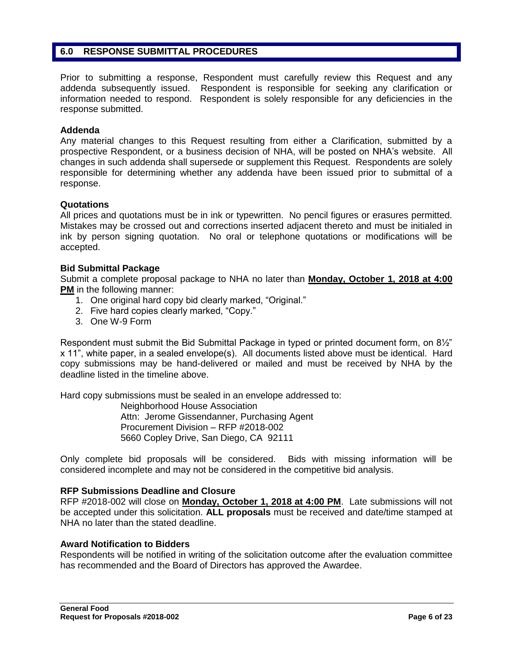#### **6.0 RESPONSE SUBMITTAL PROCEDURES**

Prior to submitting a response, Respondent must carefully review this Request and any addenda subsequently issued. Respondent is responsible for seeking any clarification or information needed to respond. Respondent is solely responsible for any deficiencies in the response submitted.

#### **Addenda**

Any material changes to this Request resulting from either a Clarification, submitted by a prospective Respondent, or a business decision of NHA, will be posted on NHA's website. All changes in such addenda shall supersede or supplement this Request. Respondents are solely responsible for determining whether any addenda have been issued prior to submittal of a response.

#### **Quotations**

All prices and quotations must be in ink or typewritten. No pencil figures or erasures permitted. Mistakes may be crossed out and corrections inserted adjacent thereto and must be initialed in ink by person signing quotation. No oral or telephone quotations or modifications will be accepted.

#### **Bid Submittal Package**

Submit a complete proposal package to NHA no later than **Monday, October 1, 2018 at 4:00 PM** in the following manner:

- 1. One original hard copy bid clearly marked, "Original."
- 2. Five hard copies clearly marked, "Copy."
- 3. One W-9 Form

Respondent must submit the Bid Submittal Package in typed or printed document form, on 8½" x 11", white paper, in a sealed envelope(s). All documents listed above must be identical. Hard copy submissions may be hand-delivered or mailed and must be received by NHA by the deadline listed in the timeline above.

Hard copy submissions must be sealed in an envelope addressed to:

Neighborhood House Association Attn: Jerome Gissendanner, Purchasing Agent Procurement Division – RFP #2018-002 5660 Copley Drive, San Diego, CA 92111

Only complete bid proposals will be considered. Bids with missing information will be considered incomplete and may not be considered in the competitive bid analysis.

#### **RFP Submissions Deadline and Closure**

RFP #2018-002 will close on **Monday, October 1, 2018 at 4:00 PM**. Late submissions will not be accepted under this solicitation. **ALL proposals** must be received and date/time stamped at NHA no later than the stated deadline.

#### **Award Notification to Bidders**

Respondents will be notified in writing of the solicitation outcome after the evaluation committee has recommended and the Board of Directors has approved the Awardee.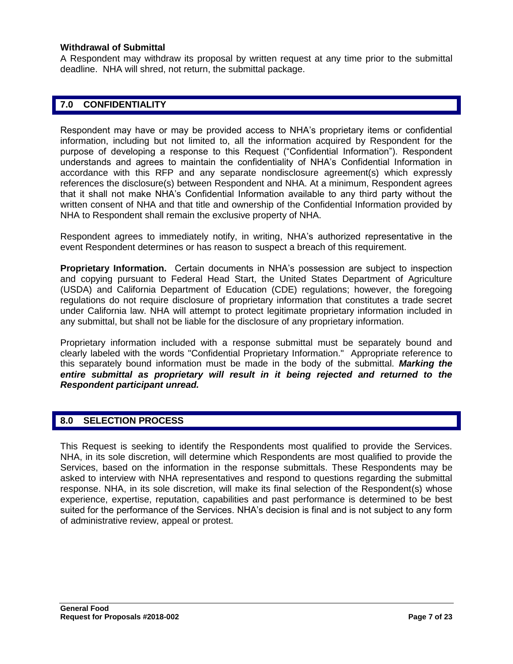#### **Withdrawal of Submittal**

A Respondent may withdraw its proposal by written request at any time prior to the submittal deadline. NHA will shred, not return, the submittal package.

## **7.0 CONFIDENTIALITY**

Respondent may have or may be provided access to NHA's proprietary items or confidential information, including but not limited to, all the information acquired by Respondent for the purpose of developing a response to this Request ("Confidential Information"). Respondent understands and agrees to maintain the confidentiality of NHA's Confidential Information in accordance with this RFP and any separate nondisclosure agreement(s) which expressly references the disclosure(s) between Respondent and NHA. At a minimum, Respondent agrees that it shall not make NHA's Confidential Information available to any third party without the written consent of NHA and that title and ownership of the Confidential Information provided by NHA to Respondent shall remain the exclusive property of NHA.

Respondent agrees to immediately notify, in writing, NHA's authorized representative in the event Respondent determines or has reason to suspect a breach of this requirement.

**Proprietary Information.** Certain documents in NHA's possession are subject to inspection and copying pursuant to Federal Head Start, the United States Department of Agriculture (USDA) and California Department of Education (CDE) regulations; however, the foregoing regulations do not require disclosure of proprietary information that constitutes a trade secret under California law. NHA will attempt to protect legitimate proprietary information included in any submittal, but shall not be liable for the disclosure of any proprietary information.

Proprietary information included with a response submittal must be separately bound and clearly labeled with the words "Confidential Proprietary Information." Appropriate reference to this separately bound information must be made in the body of the submittal. *Marking the*  entire submittal as proprietary will result in it being rejected and returned to the *Respondent participant unread.*

## **8.0 SELECTION PROCESS**

This Request is seeking to identify the Respondents most qualified to provide the Services. NHA, in its sole discretion, will determine which Respondents are most qualified to provide the Services, based on the information in the response submittals. These Respondents may be asked to interview with NHA representatives and respond to questions regarding the submittal response. NHA, in its sole discretion, will make its final selection of the Respondent(s) whose experience, expertise, reputation, capabilities and past performance is determined to be best suited for the performance of the Services. NHA's decision is final and is not subject to any form of administrative review, appeal or protest.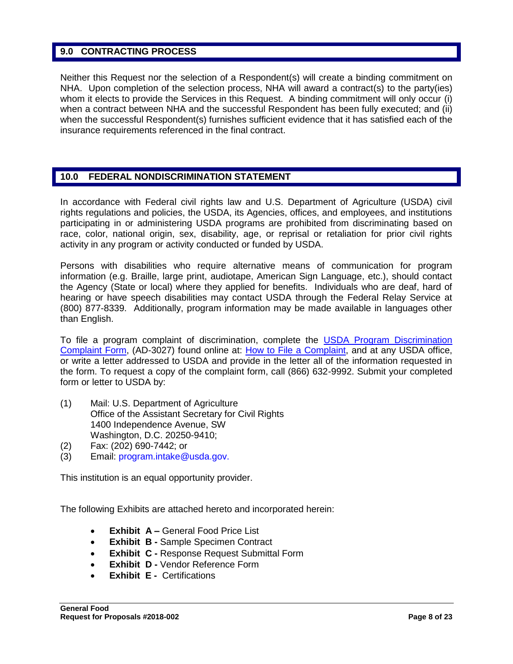## **9.0 CONTRACTING PROCESS**

Neither this Request nor the selection of a Respondent(s) will create a binding commitment on NHA. Upon completion of the selection process, NHA will award a contract(s) to the party(ies) whom it elects to provide the Services in this Request. A binding commitment will only occur (i) when a contract between NHA and the successful Respondent has been fully executed; and (ii) when the successful Respondent(s) furnishes sufficient evidence that it has satisfied each of the insurance requirements referenced in the final contract.

# **10.0 FEDERAL NONDISCRIMINATION STATEMENT**

In accordance with Federal civil rights law and U.S. Department of Agriculture (USDA) civil rights regulations and policies, the USDA, its Agencies, offices, and employees, and institutions participating in or administering USDA programs are prohibited from discriminating based on race, color, national origin, sex, disability, age, or reprisal or retaliation for prior civil rights activity in any program or activity conducted or funded by USDA.

Persons with disabilities who require alternative means of communication for program information (e.g. Braille, large print, audiotape, American Sign Language, etc.), should contact the Agency (State or local) where they applied for benefits. Individuals who are deaf, hard of hearing or have speech disabilities may contact USDA through the Federal Relay Service at (800) 877-8339. Additionally, program information may be made available in languages other than English.

To file a program complaint of discrimination, complete the [USDA Program Discrimination](http://www.ocio.usda.gov/sites/default/files/docs/2012/Complain_combined_6_8_12.pdf)  [Complaint Form,](http://www.ocio.usda.gov/sites/default/files/docs/2012/Complain_combined_6_8_12.pdf) (AD-3027) found online at: [How to File a Complaint,](http://www.ascr.usda.gov/complaint_filing_cust.html) and at any USDA office, or write a letter addressed to USDA and provide in the letter all of the information requested in the form. To request a copy of the complaint form, call (866) 632-9992. Submit your completed form or letter to USDA by:

- (1) Mail: U.S. Department of Agriculture Office of the Assistant Secretary for Civil Rights 1400 Independence Avenue, SW Washington, D.C. 20250-9410;
- (2) Fax: (202) 690-7442; or
- (3) Email: program.intake@usda.gov.

This institution is an equal opportunity provider.

The following Exhibits are attached hereto and incorporated herein:

- **Exhibit A –** General Food Price List
- **Exhibit B -** Sample Specimen Contract
- **Exhibit C -** Response Request Submittal Form
- **Exhibit D Vendor Reference Form**
- **Exhibit E -** Certifications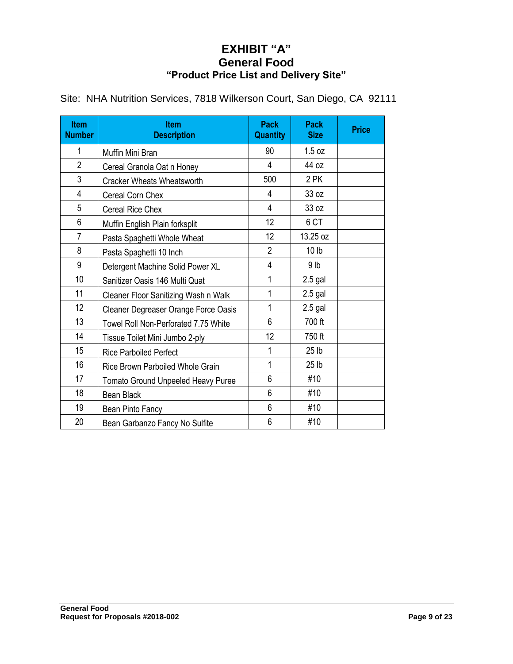# **EXHIBIT "A" General Food "Product Price List and Delivery Site"**

| <b>Item</b><br><b>Number</b> | <b>Item</b><br><b>Description</b>         | <b>Pack</b><br><b>Quantity</b> | <b>Pack</b><br><b>Size</b> | <b>Price</b> |
|------------------------------|-------------------------------------------|--------------------------------|----------------------------|--------------|
| 1                            | Muffin Mini Bran                          | 90                             | 1.5 oz                     |              |
| $\overline{2}$               | Cereal Granola Oat n Honey                | 4                              | 44 oz                      |              |
| 3                            | <b>Cracker Wheats Wheatsworth</b>         | 500                            | 2 PK                       |              |
| $\overline{4}$               | Cereal Corn Chex                          | 4                              | 33 oz                      |              |
| 5                            | <b>Cereal Rice Chex</b>                   | 4                              | 33 oz                      |              |
| 6                            | Muffin English Plain forksplit            | 12                             | 6 CT                       |              |
| $\overline{7}$               | Pasta Spaghetti Whole Wheat               | 12                             | 13.25 oz                   |              |
| 8                            | Pasta Spaghetti 10 Inch                   | $\overline{2}$                 | 10 <sub>lb</sub>           |              |
| 9                            | Detergent Machine Solid Power XL          | 4                              | 9 <sub>lb</sub>            |              |
| 10 <sup>1</sup>              | Sanitizer Oasis 146 Multi Quat            | 1                              | $2.5$ gal                  |              |
| 11                           | Cleaner Floor Sanitizing Wash n Walk      | 1                              | $2.5$ gal                  |              |
| 12                           | Cleaner Degreaser Orange Force Oasis      | 1                              | $2.5$ gal                  |              |
| 13                           | Towel Roll Non-Perforated 7.75 White      | 6                              | 700 ft                     |              |
| 14                           | Tissue Toilet Mini Jumbo 2-ply            | 12                             | 750 ft                     |              |
| 15                           | <b>Rice Parboiled Perfect</b>             | 1                              | 25 <sub>1b</sub>           |              |
| 16                           | Rice Brown Parboiled Whole Grain          | 1                              | 25 lb                      |              |
| 17                           | <b>Tomato Ground Unpeeled Heavy Puree</b> | 6                              | #10                        |              |
| 18                           | <b>Bean Black</b>                         | 6                              | #10                        |              |
| 19                           | Bean Pinto Fancy                          | 6                              | #10                        |              |
| 20                           | Bean Garbanzo Fancy No Sulfite            | 6                              | #10                        |              |

Site: NHA Nutrition Services, 7818 Wilkerson Court, San Diego, CA 92111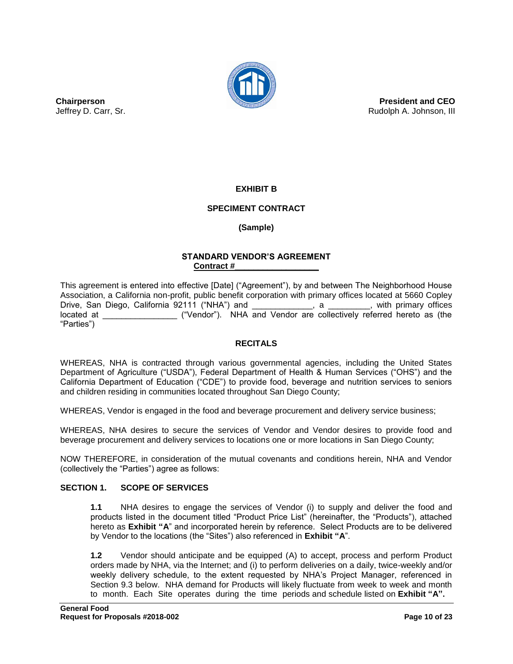

**President and CEO** Rudolph A. Johnson, III

# **EXHIBIT B**

## **SPECIMENT CONTRACT**

## **(Sample)**

#### **STANDARD VENDOR'S AGREEMENT Contract #\_\_\_\_\_\_\_\_\_\_\_\_\_\_\_\_\_\_**

This agreement is entered into effective [Date] ("Agreement"), by and between The Neighborhood House Association, a California non-profit, public benefit corporation with primary offices located at 5660 Copley Drive, San Diego, California 92111 ("NHA") and \_\_\_\_\_\_\_\_\_\_\_\_, a \_\_\_\_\_\_\_\_\_, with primary offices located at \_\_\_\_\_\_\_\_\_\_\_\_\_\_\_\_ ("Vendor"). NHA and Vendor are collectively referred hereto as (the "Parties")

## **RECITALS**

WHEREAS, NHA is contracted through various governmental agencies, including the United States Department of Agriculture ("USDA"), Federal Department of Health & Human Services ("OHS") and the California Department of Education ("CDE") to provide food, beverage and nutrition services to seniors and children residing in communities located throughout San Diego County;

WHEREAS, Vendor is engaged in the food and beverage procurement and delivery service business;

WHEREAS, NHA desires to secure the services of Vendor and Vendor desires to provide food and beverage procurement and delivery services to locations one or more locations in San Diego County;

NOW THEREFORE, in consideration of the mutual covenants and conditions herein, NHA and Vendor (collectively the "Parties") agree as follows:

#### **SECTION 1. SCOPE OF SERVICES**

**1.1** NHA desires to engage the services of Vendor (i) to supply and deliver the food and products listed in the document titled "Product Price List" (hereinafter, the "Products"), attached hereto as **Exhibit "A**" and incorporated herein by reference. Select Products are to be delivered by Vendor to the locations (the "Sites") also referenced in **Exhibit "A**".

**1.2** Vendor should anticipate and be equipped (A) to accept, process and perform Product orders made by NHA, via the Internet; and (i) to perform deliveries on a daily, twice-weekly and/or weekly delivery schedule, to the extent requested by NHA's Project Manager, referenced in Section 9.3 below. NHA demand for Products will likely fluctuate from week to week and month to month. Each Site operates during the time periods and schedule listed on **Exhibit "A".**

**Chairperson** Jeffrey D. Carr, Sr.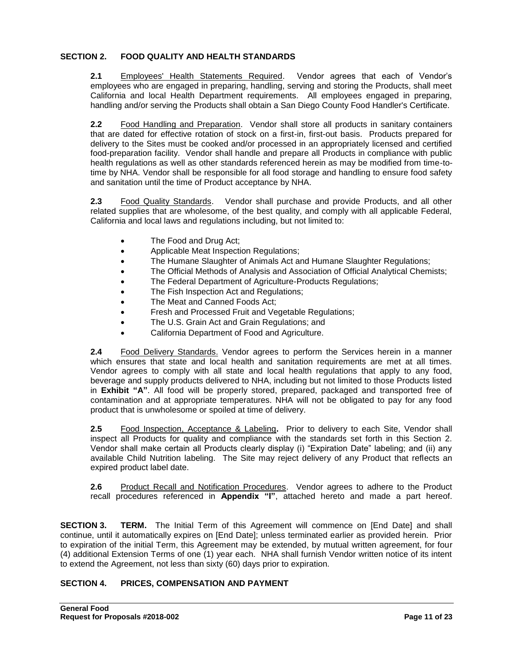#### **SECTION 2. FOOD QUALITY AND HEALTH STANDARDS**

**2.1** Employees' Health Statements Required. Vendor agrees that each of Vendor's employees who are engaged in preparing, handling, serving and storing the Products, shall meet California and local Health Department requirements. All employees engaged in preparing, handling and/or serving the Products shall obtain a San Diego County Food Handler's Certificate.

**2.2** Food Handling and Preparation. Vendor shall store all products in sanitary containers that are dated for effective rotation of stock on a first-in, first-out basis. Products prepared for delivery to the Sites must be cooked and/or processed in an appropriately licensed and certified food-preparation facility. Vendor shall handle and prepare all Products in compliance with public health regulations as well as other standards referenced herein as may be modified from time-totime by NHA. Vendor shall be responsible for all food storage and handling to ensure food safety and sanitation until the time of Product acceptance by NHA.

**2.3** Food Quality Standards. Vendor shall purchase and provide Products, and all other related supplies that are wholesome, of the best quality, and comply with all applicable Federal, California and local laws and regulations including, but not limited to:

- The Food and Drug Act;
- Applicable Meat Inspection Regulations;
- The Humane Slaughter of Animals Act and Humane Slaughter Regulations;
- The Official Methods of Analysis and Association of Official Analytical Chemists;
- The Federal Department of Agriculture-Products Regulations;
- The Fish Inspection Act and Regulations;
- The Meat and Canned Foods Act;
- Fresh and Processed Fruit and Vegetable Regulations;
- The U.S. Grain Act and Grain Regulations; and
- California Department of Food and Agriculture.

**2.4** Food Delivery Standards. Vendor agrees to perform the Services herein in a manner which ensures that state and local health and sanitation requirements are met at all times. Vendor agrees to comply with all state and local health regulations that apply to any food, beverage and supply products delivered to NHA, including but not limited to those Products listed in **Exhibit "A"**. All food will be properly stored, prepared, packaged and transported free of contamination and at appropriate temperatures. NHA will not be obligated to pay for any food product that is unwholesome or spoiled at time of delivery.

**2.5** Food Inspection, Acceptance & Labeling**.** Prior to delivery to each Site, Vendor shall inspect all Products for quality and compliance with the standards set forth in this Section 2. Vendor shall make certain all Products clearly display (i) "Expiration Date" labeling; and (ii) any available Child Nutrition labeling. The Site may reject delivery of any Product that reflects an expired product label date.

**2.6** Product Recall and Notification Procedures. Vendor agrees to adhere to the Product recall procedures referenced in **Appendix "I"**, attached hereto and made a part hereof.

**SECTION 3. TERM.** The Initial Term of this Agreement will commence on [End Date] and shall continue, until it automatically expires on [End Date]; unless terminated earlier as provided herein. Prior to expiration of the initial Term, this Agreement may be extended, by mutual written agreement, for four (4) additional Extension Terms of one (1) year each. NHA shall furnish Vendor written notice of its intent to extend the Agreement, not less than sixty (60) days prior to expiration.

#### **SECTION 4. PRICES, COMPENSATION AND PAYMENT**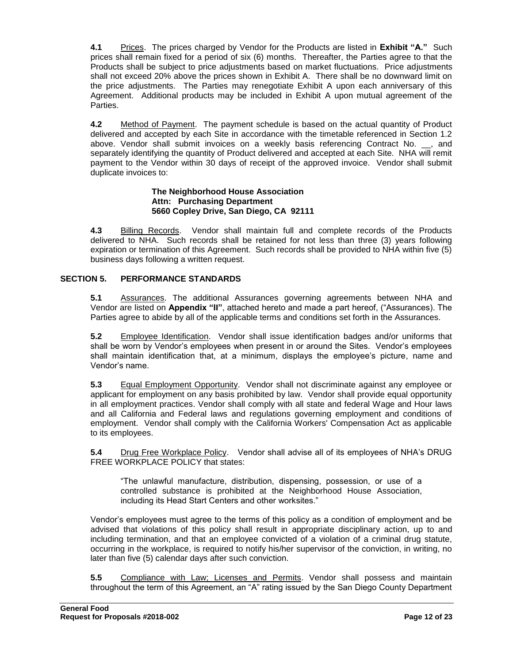**4.1** Prices.The prices charged by Vendor for the Products are listed in **Exhibit "A."** Such prices shall remain fixed for a period of six (6) months. Thereafter, the Parties agree to that the Products shall be subject to price adjustments based on market fluctuations. Price adjustments shall not exceed 20% above the prices shown in Exhibit A. There shall be no downward limit on the price adjustments. The Parties may renegotiate Exhibit A upon each anniversary of this Agreement. Additional products may be included in Exhibit A upon mutual agreement of the Parties.

**4.2** Method of Payment. The payment schedule is based on the actual quantity of Product delivered and accepted by each Site in accordance with the timetable referenced in Section 1.2 above. Vendor shall submit invoices on a weekly basis referencing Contract No. \_\_, and separately identifying the quantity of Product delivered and accepted at each Site. NHA will remit payment to the Vendor within 30 days of receipt of the approved invoice. Vendor shall submit duplicate invoices to:

#### **The Neighborhood House Association Attn: Purchasing Department 5660 Copley Drive, San Diego, CA 92111**

**4.3** Billing Records. Vendor shall maintain full and complete records of the Products delivered to NHA. Such records shall be retained for not less than three (3) years following expiration or termination of this Agreement. Such records shall be provided to NHA within five (5) business days following a written request.

## **SECTION 5. PERFORMANCE STANDARDS**

**5.1** Assurances. The additional Assurances governing agreements between NHA and Vendor are listed on **Appendix "II"**, attached hereto and made a part hereof, ("Assurances). The Parties agree to abide by all of the applicable terms and conditions set forth in the Assurances.

**5.2** Employee Identification. Vendor shall issue identification badges and/or uniforms that shall be worn by Vendor's employees when present in or around the Sites. Vendor's employees shall maintain identification that, at a minimum, displays the employee's picture, name and Vendor's name.

**5.3** Equal Employment Opportunity. Vendor shall not discriminate against any employee or applicant for employment on any basis prohibited by law. Vendor shall provide equal opportunity in all employment practices. Vendor shall comply with all state and federal Wage and Hour laws and all California and Federal laws and regulations governing employment and conditions of employment. Vendor shall comply with the California Workers' Compensation Act as applicable to its employees.

**5.4** Drug Free Workplace Policy. Vendor shall advise all of its employees of NHA's DRUG FREE WORKPLACE POLICY that states:

"The unlawful manufacture, distribution, dispensing, possession, or use of a controlled substance is prohibited at the Neighborhood House Association, including its Head Start Centers and other worksites."

Vendor's employees must agree to the terms of this policy as a condition of employment and be advised that violations of this policy shall result in appropriate disciplinary action, up to and including termination, and that an employee convicted of a violation of a criminal drug statute, occurring in the workplace, is required to notify his/her supervisor of the conviction, in writing, no later than five (5) calendar days after such conviction.

**5.5** Compliance with Law; Licenses and Permits. Vendor shall possess and maintain throughout the term of this Agreement, an "A" rating issued by the San Diego County Department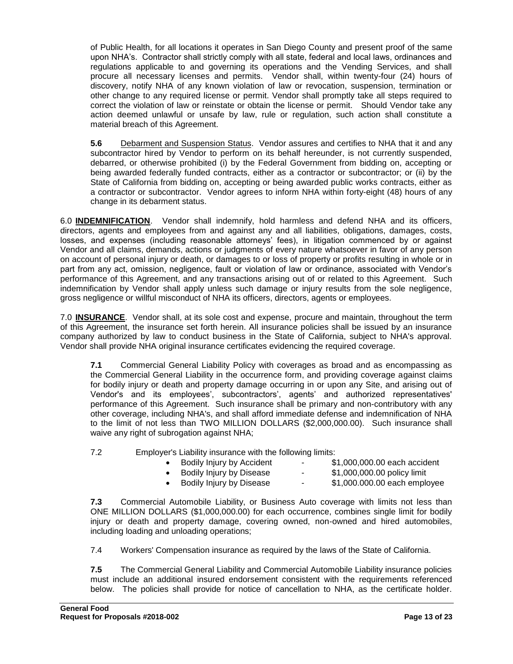of Public Health, for all locations it operates in San Diego County and present proof of the same upon NHA's. Contractor shall strictly comply with all state, federal and local laws, ordinances and regulations applicable to and governing its operations and the Vending Services, and shall procure all necessary licenses and permits. Vendor shall, within twenty-four (24) hours of discovery, notify NHA of any known violation of law or revocation, suspension, termination or other change to any required license or permit. Vendor shall promptly take all steps required to correct the violation of law or reinstate or obtain the license or permit. Should Vendor take any action deemed unlawful or unsafe by law, rule or regulation, such action shall constitute a material breach of this Agreement.

**5.6** Debarment and Suspension Status. Vendor assures and certifies to NHA that it and any subcontractor hired by Vendor to perform on its behalf hereunder, is not currently suspended, debarred, or otherwise prohibited (i) by the Federal Government from bidding on, accepting or being awarded federally funded contracts, either as a contractor or subcontractor; or (ii) by the State of California from bidding on, accepting or being awarded public works contracts, either as a contractor or subcontractor. Vendor agrees to inform NHA within forty-eight (48) hours of any change in its debarment status.

6.0 **INDEMNIFICATION**. Vendor shall indemnify, hold harmless and defend NHA and its officers, directors, agents and employees from and against any and all liabilities, obligations, damages, costs, losses, and expenses (including reasonable attorneys' fees), in litigation commenced by or against Vendor and all claims, demands, actions or judgments of every nature whatsoever in favor of any person on account of personal injury or death, or damages to or loss of property or profits resulting in whole or in part from any act, omission, negligence, fault or violation of law or ordinance, associated with Vendor's performance of this Agreement, and any transactions arising out of or related to this Agreement. Such indemnification by Vendor shall apply unless such damage or injury results from the sole negligence, gross negligence or willful misconduct of NHA its officers, directors, agents or employees.

7.0 **INSURANCE**. Vendor shall, at its sole cost and expense, procure and maintain, throughout the term of this Agreement, the insurance set forth herein. All insurance policies shall be issued by an insurance company authorized by law to conduct business in the State of California, subject to NHA's approval. Vendor shall provide NHA original insurance certificates evidencing the required coverage.

**7.1** Commercial General Liability Policy with coverages as broad and as encompassing as the Commercial General Liability in the occurrence form, and providing coverage against claims for bodily injury or death and property damage occurring in or upon any Site, and arising out of Vendor's and its employees', subcontractors', agents' and authorized representatives' performance of this Agreement. Such insurance shall be primary and non-contributory with any other coverage, including NHA's, and shall afford immediate defense and indemnification of NHA to the limit of not less than TWO MILLION DOLLARS (\$2,000,000.00). Such insurance shall waive any right of subrogation against NHA;

7.2 Employer's Liability insurance with the following limits:

| Bodily Injury by Accident | - | \$1,000,000.00 each accident |
|---------------------------|---|------------------------------|
| Bodily Injury by Disease  |   | \$1,000,000.00 policy limit  |

• Bodily Injury by Disease - \$1,000.000.00 each employee

**7.3** Commercial Automobile Liability, or Business Auto coverage with limits not less than ONE MILLION DOLLARS (\$1,000,000.00) for each occurrence, combines single limit for bodily injury or death and property damage, covering owned, non-owned and hired automobiles, including loading and unloading operations;

7.4 Workers' Compensation insurance as required by the laws of the State of California.

**7.5** The Commercial General Liability and Commercial Automobile Liability insurance policies must include an additional insured endorsement consistent with the requirements referenced below. The policies shall provide for notice of cancellation to NHA, as the certificate holder.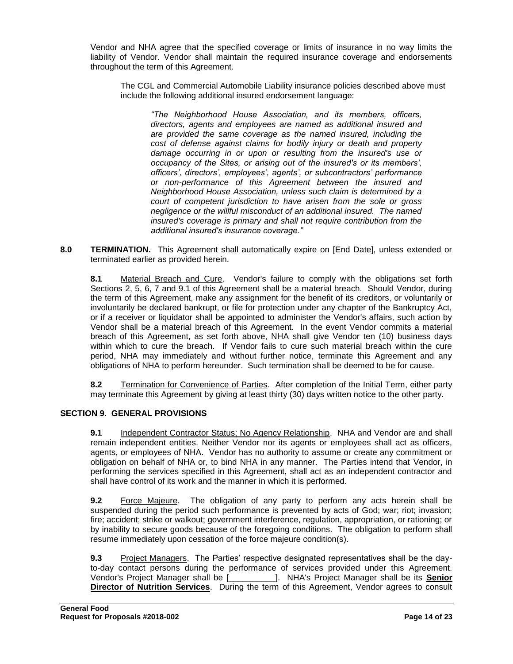Vendor and NHA agree that the specified coverage or limits of insurance in no way limits the liability of Vendor. Vendor shall maintain the required insurance coverage and endorsements throughout the term of this Agreement.

The CGL and Commercial Automobile Liability insurance policies described above must include the following additional insured endorsement language:

*"The Neighborhood House Association, and its members, officers, directors, agents and employees are named as additional insured and are provided the same coverage as the named insured, including the cost of defense against claims for bodily injury or death and property damage occurring in or upon or resulting from the insured's use or occupancy of the Sites, or arising out of the insured's or its members', officers', directors', employees', agents', or subcontractors' performance or non-performance of this Agreement between the insured and Neighborhood House Association, unless such claim is determined by a court of competent jurisdiction to have arisen from the sole or gross negligence or the willful misconduct of an additional insured. The named insured's coverage is primary and shall not require contribution from the additional insured's insurance coverage."*

**8.0 TERMINATION.** This Agreement shall automatically expire on [End Date], unless extended or terminated earlier as provided herein.

**8.1** Material Breach and Cure. Vendor's failure to comply with the obligations set forth Sections 2, 5, 6, 7 and 9.1 of this Agreement shall be a material breach. Should Vendor, during the term of this Agreement, make any assignment for the benefit of its creditors, or voluntarily or involuntarily be declared bankrupt, or file for protection under any chapter of the Bankruptcy Act, or if a receiver or liquidator shall be appointed to administer the Vendor's affairs, such action by Vendor shall be a material breach of this Agreement. In the event Vendor commits a material breach of this Agreement, as set forth above, NHA shall give Vendor ten (10) business days within which to cure the breach. If Vendor fails to cure such material breach within the cure period, NHA may immediately and without further notice, terminate this Agreement and any obligations of NHA to perform hereunder. Such termination shall be deemed to be for cause.

**8.2** Termination for Convenience of Parties. After completion of the Initial Term, either party may terminate this Agreement by giving at least thirty (30) days written notice to the other party.

#### **SECTION 9. GENERAL PROVISIONS**

**9.1** Independent Contractor Status; No Agency Relationship. NHA and Vendor are and shall remain independent entities. Neither Vendor nor its agents or employees shall act as officers, agents, or employees of NHA. Vendor has no authority to assume or create any commitment or obligation on behalf of NHA or, to bind NHA in any manner. The Parties intend that Vendor, in performing the services specified in this Agreement, shall act as an independent contractor and shall have control of its work and the manner in which it is performed.

**9.2** Force Majeure. The obligation of any party to perform any acts herein shall be suspended during the period such performance is prevented by acts of God; war; riot; invasion; fire; accident; strike or walkout; government interference, regulation, appropriation, or rationing; or by inability to secure goods because of the foregoing conditions. The obligation to perform shall resume immediately upon cessation of the force majeure condition(s).

**9.3** Project Managers. The Parties' respective designated representatives shall be the dayto-day contact persons during the performance of services provided under this Agreement. Vendor's Project Manager shall be [\_\_\_\_\_\_\_\_\_\_]. NHA's Project Manager shall be its **Senior Director of Nutrition Services**. During the term of this Agreement, Vendor agrees to consult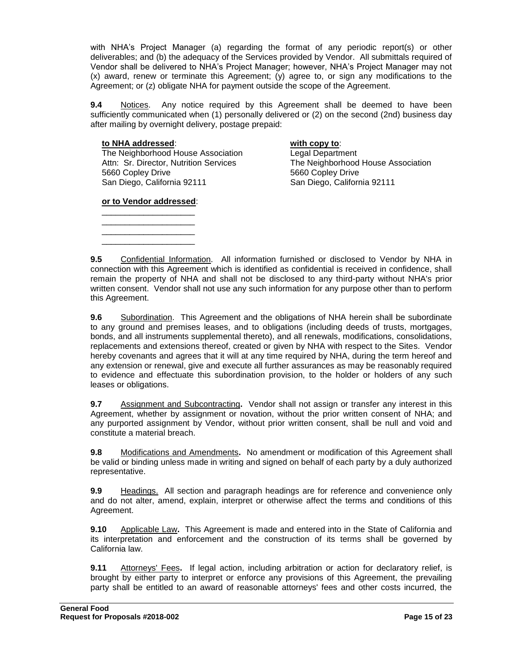with NHA's Project Manager (a) regarding the format of any periodic report(s) or other deliverables; and (b) the adequacy of the Services provided by Vendor. All submittals required of Vendor shall be delivered to NHA's Project Manager; however, NHA's Project Manager may not (x) award, renew or terminate this Agreement; (y) agree to, or sign any modifications to the Agreement; or (z) obligate NHA for payment outside the scope of the Agreement.

**9.4** Notices. Any notice required by this Agreement shall be deemed to have been sufficiently communicated when (1) personally delivered or (2) on the second (2nd) business day after mailing by overnight delivery, postage prepaid:

#### **to NHA addressed**: **with copy to**:

The Neighborhood House Association **Legal Department** Attn: Sr. Director, Nutrition Services The Neighborhood House Association 5660 Copley Drive 5660 Copley Drive San Diego, California 92111 San Diego, California 92111

#### **or to Vendor addressed**: \_\_\_\_\_\_\_\_\_\_\_\_\_\_\_\_\_\_\_\_

\_\_\_\_\_\_\_\_\_\_\_\_\_\_\_\_\_\_\_\_ \_\_\_\_\_\_\_\_\_\_\_\_\_\_\_\_\_\_\_\_ \_\_\_\_\_\_\_\_\_\_\_\_\_\_\_\_\_\_\_\_

**9.5** Confidential Information. All information furnished or disclosed to Vendor by NHA in connection with this Agreement which is identified as confidential is received in confidence, shall remain the property of NHA and shall not be disclosed to any third-party without NHA's prior written consent. Vendor shall not use any such information for any purpose other than to perform this Agreement.

**9.6** Subordination. This Agreement and the obligations of NHA herein shall be subordinate to any ground and premises leases, and to obligations (including deeds of trusts, mortgages, bonds, and all instruments supplemental thereto), and all renewals, modifications, consolidations, replacements and extensions thereof, created or given by NHA with respect to the Sites. Vendor hereby covenants and agrees that it will at any time required by NHA, during the term hereof and any extension or renewal, give and execute all further assurances as may be reasonably required to evidence and effectuate this subordination provision, to the holder or holders of any such leases or obligations.

**9.7** Assignment and Subcontracting**.** Vendor shall not assign or transfer any interest in this Agreement, whether by assignment or novation, without the prior written consent of NHA; and any purported assignment by Vendor, without prior written consent, shall be null and void and constitute a material breach.

**9.8** Modifications and Amendments**.** No amendment or modification of this Agreement shall be valid or binding unless made in writing and signed on behalf of each party by a duly authorized representative.

**9.9** Headings. All section and paragraph headings are for reference and convenience only and do not alter, amend, explain, interpret or otherwise affect the terms and conditions of this Agreement.

**9.10** Applicable Law**.** This Agreement is made and entered into in the State of California and its interpretation and enforcement and the construction of its terms shall be governed by California law.

**9.11** Attorneys' Fees**.** If legal action, including arbitration or action for declaratory relief, is brought by either party to interpret or enforce any provisions of this Agreement, the prevailing party shall be entitled to an award of reasonable attorneys' fees and other costs incurred, the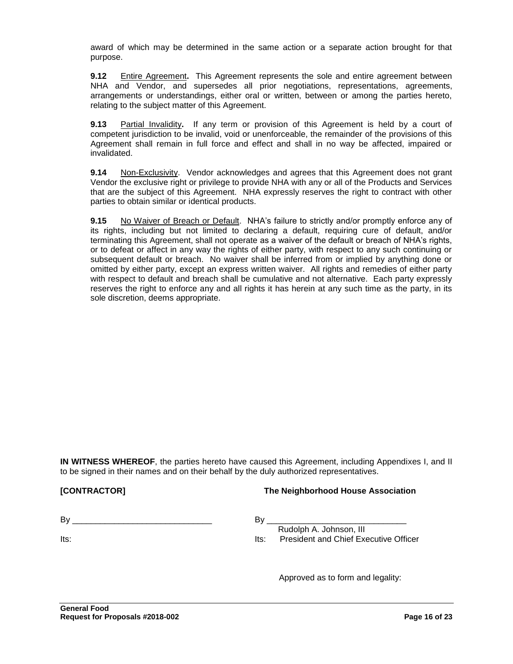award of which may be determined in the same action or a separate action brought for that purpose.

**9.12** Entire Agreement. This Agreement represents the sole and entire agreement between NHA and Vendor, and supersedes all prior negotiations, representations, agreements, arrangements or understandings, either oral or written, between or among the parties hereto, relating to the subject matter of this Agreement.

**9.13** Partial Invalidity**.** If any term or provision of this Agreement is held by a court of competent jurisdiction to be invalid, void or unenforceable, the remainder of the provisions of this Agreement shall remain in full force and effect and shall in no way be affected, impaired or invalidated.

**9.14** Non-Exclusivity. Vendor acknowledges and agrees that this Agreement does not grant Vendor the exclusive right or privilege to provide NHA with any or all of the Products and Services that are the subject of this Agreement. NHA expressly reserves the right to contract with other parties to obtain similar or identical products.

**9.15** No Waiver of Breach or Default. NHA's failure to strictly and/or promptly enforce any of its rights, including but not limited to declaring a default, requiring cure of default, and/or terminating this Agreement, shall not operate as a waiver of the default or breach of NHA's rights, or to defeat or affect in any way the rights of either party, with respect to any such continuing or subsequent default or breach. No waiver shall be inferred from or implied by anything done or omitted by either party, except an express written waiver. All rights and remedies of either party with respect to default and breach shall be cumulative and not alternative. Each party expressly reserves the right to enforce any and all rights it has herein at any such time as the party, in its sole discretion, deems appropriate.

**IN WITNESS WHEREOF**, the parties hereto have caused this Agreement, including Appendixes I, and II to be signed in their names and on their behalf by the duly authorized representatives.

#### **[CONTRACTOR] The Neighborhood House Association**

Its:

 $\mathsf{B}\mathsf{v}$ 

 $Bv_{-}$ 

 Rudolph A. Johnson, III Its: President and Chief Executive Officer

Approved as to form and legality: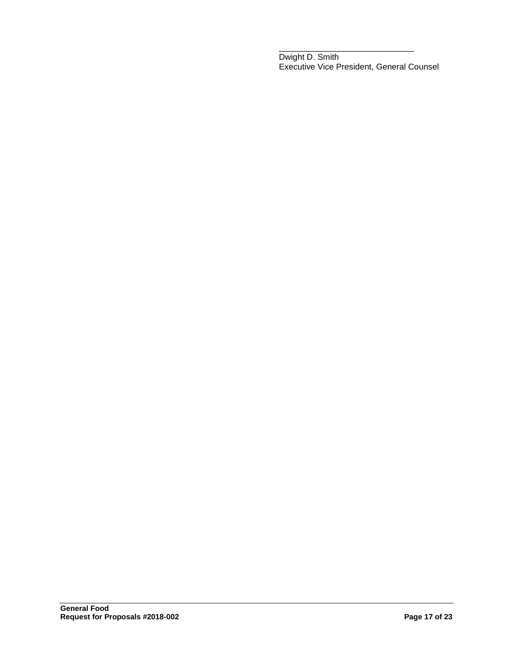Dwight D. Smith Executive Vice President, General Counsel

\_\_\_\_\_\_\_\_\_\_\_\_\_\_\_\_\_\_\_\_\_\_\_\_\_\_\_\_\_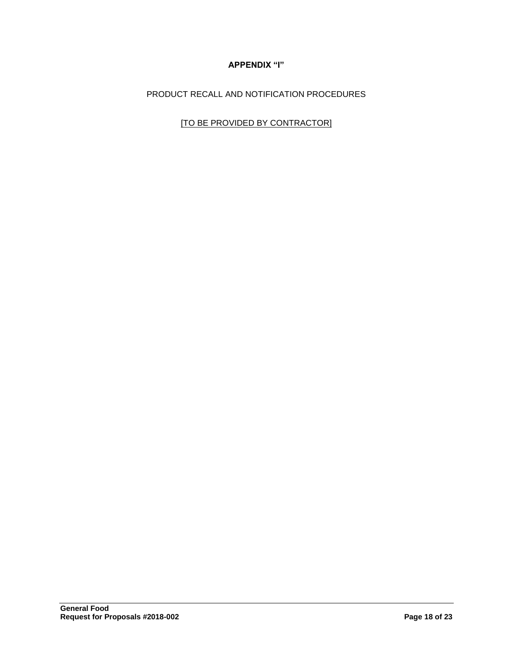# **APPENDIX "I"**

PRODUCT RECALL AND NOTIFICATION PROCEDURES

[TO BE PROVIDED BY CONTRACTOR]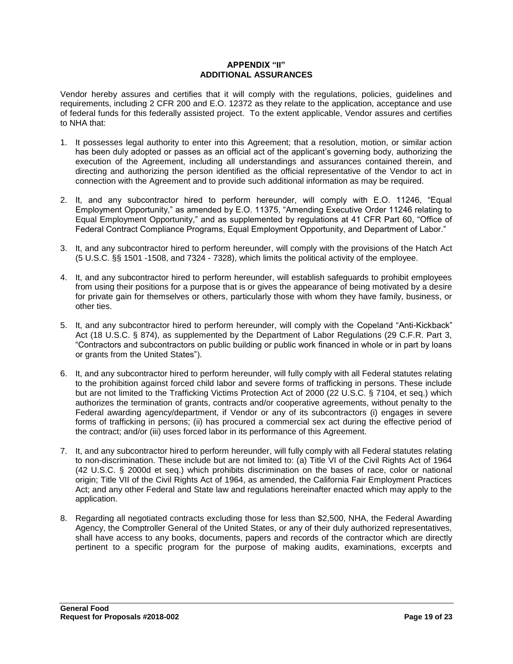#### **APPENDIX "II" ADDITIONAL ASSURANCES**

Vendor hereby assures and certifies that it will comply with the regulations, policies, guidelines and requirements, including 2 CFR 200 and E.O. 12372 as they relate to the application, acceptance and use of federal funds for this federally assisted project. To the extent applicable, Vendor assures and certifies to NHA that:

- 1. It possesses legal authority to enter into this Agreement; that a resolution, motion, or similar action has been duly adopted or passes as an official act of the applicant's governing body, authorizing the execution of the Agreement, including all understandings and assurances contained therein, and directing and authorizing the person identified as the official representative of the Vendor to act in connection with the Agreement and to provide such additional information as may be required.
- 2. It, and any subcontractor hired to perform hereunder, will comply with E.O. 11246, "Equal Employment Opportunity," as amended by E.O. 11375, "Amending Executive Order 11246 relating to Equal Employment Opportunity," and as supplemented by regulations at 41 CFR Part 60, "Office of Federal Contract Compliance Programs, Equal Employment Opportunity, and Department of Labor."
- 3. It, and any subcontractor hired to perform hereunder, will comply with the provisions of the Hatch Act (5 U.S.C. §§ 1501 -1508, and 7324 - 7328), which limits the political activity of the employee.
- 4. It, and any subcontractor hired to perform hereunder, will establish safeguards to prohibit employees from using their positions for a purpose that is or gives the appearance of being motivated by a desire for private gain for themselves or others, particularly those with whom they have family, business, or other ties.
- 5. It, and any subcontractor hired to perform hereunder, will comply with the Copeland "Anti-Kickback" Act (18 U.S.C. § 874), as supplemented by the Department of Labor Regulations (29 C.F.R. Part 3, "Contractors and subcontractors on public building or public work financed in whole or in part by loans or grants from the United States").
- 6. It, and any subcontractor hired to perform hereunder, will fully comply with all Federal statutes relating to the prohibition against forced child labor and severe forms of trafficking in persons. These include but are not limited to the Trafficking Victims Protection Act of 2000 (22 U.S.C. § 7104, et seq.) which authorizes the termination of grants, contracts and/or cooperative agreements, without penalty to the Federal awarding agency/department, if Vendor or any of its subcontractors (i) engages in severe forms of trafficking in persons; (ii) has procured a commercial sex act during the effective period of the contract; and/or (iii) uses forced labor in its performance of this Agreement.
- 7. It, and any subcontractor hired to perform hereunder, will fully comply with all Federal statutes relating to non-discrimination. These include but are not limited to: (a) Title VI of the Civil Rights Act of 1964 (42 U.S.C. § 2000d et seq.) which prohibits discrimination on the bases of race, color or national origin; Title VII of the Civil Rights Act of 1964, as amended, the California Fair Employment Practices Act; and any other Federal and State law and regulations hereinafter enacted which may apply to the application.
- 8. Regarding all negotiated contracts excluding those for less than \$2,500, NHA, the Federal Awarding Agency, the Comptroller General of the United States, or any of their duly authorized representatives, shall have access to any books, documents, papers and records of the contractor which are directly pertinent to a specific program for the purpose of making audits, examinations, excerpts and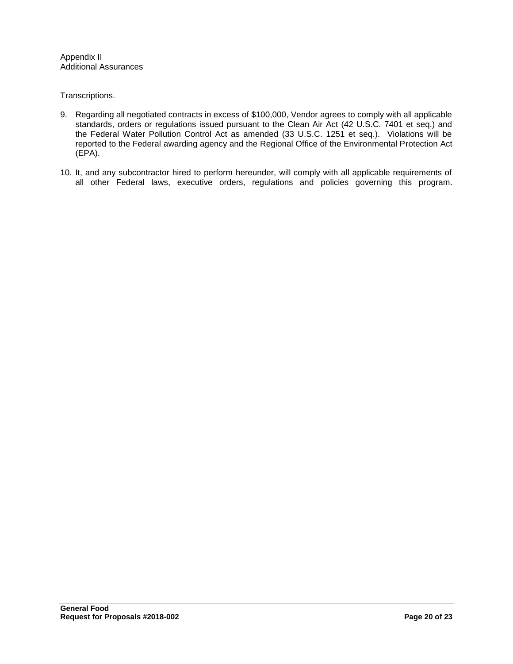Appendix II Additional Assurances

Transcriptions.

- 9. Regarding all negotiated contracts in excess of \$100,000, Vendor agrees to comply with all applicable standards, orders or regulations issued pursuant to the Clean Air Act (42 U.S.C. 7401 et seq.) and the Federal Water Pollution Control Act as amended (33 U.S.C. 1251 et seq.). Violations will be reported to the Federal awarding agency and the Regional Office of the Environmental Protection Act (EPA).
- 10. It, and any subcontractor hired to perform hereunder, will comply with all applicable requirements of all other Federal laws, executive orders, regulations and policies governing this program.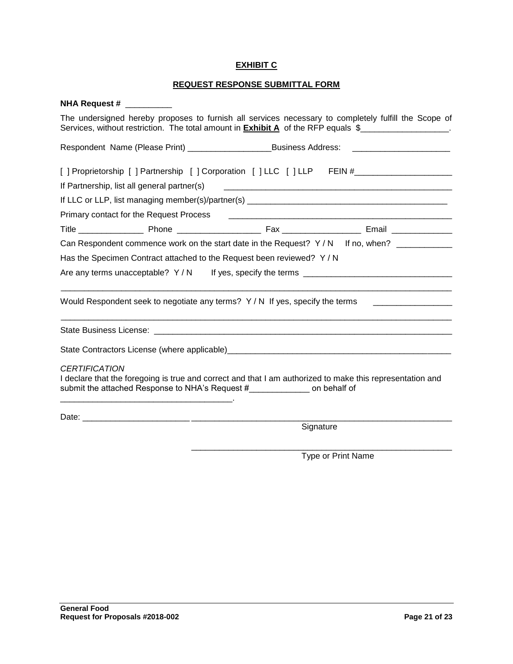#### **EXHIBIT C**

# **REQUEST RESPONSE SUBMITTAL FORM**

| <b>NHA Request #</b>                                                                                                                                                                                          |           |  |  |
|---------------------------------------------------------------------------------------------------------------------------------------------------------------------------------------------------------------|-----------|--|--|
| The undersigned hereby proposes to furnish all services necessary to completely fulfill the Scope of<br>Services, without restriction. The total amount in <b>Exhibit A</b> of the RFP equals \$              |           |  |  |
| Respondent Name (Please Print) __________________________________Business Address: __________________________                                                                                                 |           |  |  |
| [ ] Proprietorship [ ] Partnership [ ] Corporation [ ] LLC [ ] LLP FEIN #__________________________                                                                                                           |           |  |  |
| If Partnership, list all general partner(s)                                                                                                                                                                   |           |  |  |
|                                                                                                                                                                                                               |           |  |  |
| Primary contact for the Request Process                                                                                                                                                                       |           |  |  |
|                                                                                                                                                                                                               |           |  |  |
| Can Respondent commence work on the start date in the Request? Y/N If no, when?                                                                                                                               |           |  |  |
| Has the Specimen Contract attached to the Request been reviewed? Y / N<br>Are any terms unacceptable? $Y/N$ If yes, specify the terms                                                                         |           |  |  |
|                                                                                                                                                                                                               |           |  |  |
|                                                                                                                                                                                                               |           |  |  |
|                                                                                                                                                                                                               |           |  |  |
| <b>CERTIFICATION</b><br>I declare that the foregoing is true and correct and that I am authorized to make this representation and<br>submit the attached Response to NHA's Request # The Connect on behalf of |           |  |  |
| <u> 1989 - Johann Barn, mars an t-Amerikaansk politiker (* 1908)</u>                                                                                                                                          |           |  |  |
|                                                                                                                                                                                                               | Signature |  |  |
|                                                                                                                                                                                                               |           |  |  |

Type or Print Name

\_\_\_\_\_\_\_\_\_\_\_\_\_\_\_\_\_\_\_\_\_\_\_\_\_\_\_\_\_\_\_\_\_\_\_\_\_\_\_\_\_\_\_\_\_\_\_\_\_\_\_\_\_\_\_\_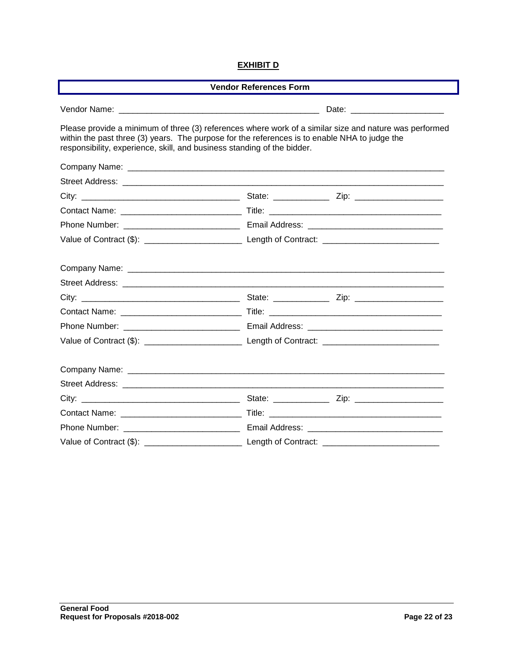#### **EXHIBIT D**

| <b>Vendor References Form</b>                                                                                                                                                                                                                                                      |  |  |  |  |
|------------------------------------------------------------------------------------------------------------------------------------------------------------------------------------------------------------------------------------------------------------------------------------|--|--|--|--|
|                                                                                                                                                                                                                                                                                    |  |  |  |  |
| Please provide a minimum of three (3) references where work of a similar size and nature was performed<br>within the past three (3) years. The purpose for the references is to enable NHA to judge the<br>responsibility, experience, skill, and business standing of the bidder. |  |  |  |  |
|                                                                                                                                                                                                                                                                                    |  |  |  |  |
|                                                                                                                                                                                                                                                                                    |  |  |  |  |
|                                                                                                                                                                                                                                                                                    |  |  |  |  |
|                                                                                                                                                                                                                                                                                    |  |  |  |  |
|                                                                                                                                                                                                                                                                                    |  |  |  |  |
|                                                                                                                                                                                                                                                                                    |  |  |  |  |
|                                                                                                                                                                                                                                                                                    |  |  |  |  |
|                                                                                                                                                                                                                                                                                    |  |  |  |  |
|                                                                                                                                                                                                                                                                                    |  |  |  |  |
|                                                                                                                                                                                                                                                                                    |  |  |  |  |
|                                                                                                                                                                                                                                                                                    |  |  |  |  |
|                                                                                                                                                                                                                                                                                    |  |  |  |  |
|                                                                                                                                                                                                                                                                                    |  |  |  |  |
|                                                                                                                                                                                                                                                                                    |  |  |  |  |
|                                                                                                                                                                                                                                                                                    |  |  |  |  |
|                                                                                                                                                                                                                                                                                    |  |  |  |  |
|                                                                                                                                                                                                                                                                                    |  |  |  |  |
|                                                                                                                                                                                                                                                                                    |  |  |  |  |
|                                                                                                                                                                                                                                                                                    |  |  |  |  |
|                                                                                                                                                                                                                                                                                    |  |  |  |  |